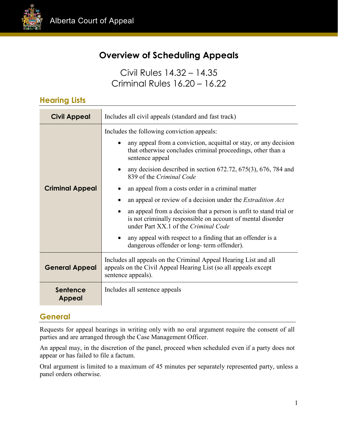

## **Overview of Scheduling Appeals**

Civil Rules 14.32 – 14.35 Criminal Rules 16.20 – 16.22

#### **Hearing Lists**

| <b>Civil Appeal</b>    | Includes all civil appeals (standard and fast track)                                                                                                                                                                                                                                                                                                                                                                                                                                                                                                                                                                                                                                                                           |  |
|------------------------|--------------------------------------------------------------------------------------------------------------------------------------------------------------------------------------------------------------------------------------------------------------------------------------------------------------------------------------------------------------------------------------------------------------------------------------------------------------------------------------------------------------------------------------------------------------------------------------------------------------------------------------------------------------------------------------------------------------------------------|--|
| <b>Criminal Appeal</b> | Includes the following conviction appeals:<br>any appeal from a conviction, acquittal or stay, or any decision<br>that otherwise concludes criminal proceedings, other than a<br>sentence appeal<br>any decision described in section $672.72$ , $675(3)$ , $676$ , $784$ and<br>839 of the Criminal Code<br>an appeal from a costs order in a criminal matter<br>an appeal or review of a decision under the <i>Extradition Act</i><br>an appeal from a decision that a person is unfit to stand trial or<br>is not criminally responsible on account of mental disorder<br>under Part XX.1 of the Criminal Code<br>any appeal with respect to a finding that an offender is a<br>dangerous offender or long- term offender). |  |
| <b>General Appeal</b>  | Includes all appeals on the Criminal Appeal Hearing List and all<br>appeals on the Civil Appeal Hearing List (so all appeals except<br>sentence appeals).                                                                                                                                                                                                                                                                                                                                                                                                                                                                                                                                                                      |  |
| Sentence<br>Appeal     | Includes all sentence appeals                                                                                                                                                                                                                                                                                                                                                                                                                                                                                                                                                                                                                                                                                                  |  |

#### **General**

Requests for appeal hearings in writing only with no oral argument require the consent of all parties and are arranged through the Case Management Officer.

An appeal may, in the discretion of the panel, proceed when scheduled even if a party does not appear or has failed to file a factum.

Oral argument is limited to a maximum of 45 minutes per separately represented party, unless a panel orders otherwise.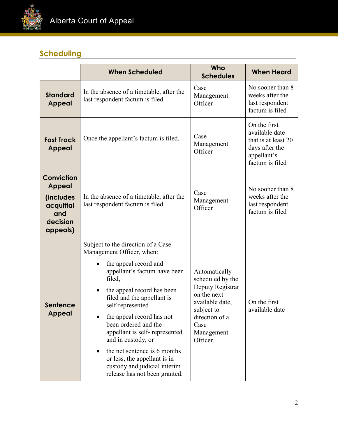

# **Scheduling**

|                                                                                             | <b>When Scheduled</b>                                                                                                                                                                                                                                                                                                                                                                                                                                                | Who<br><b>Schedules</b>                                                                                                                                   | <b>When Heard</b>                                                                                         |
|---------------------------------------------------------------------------------------------|----------------------------------------------------------------------------------------------------------------------------------------------------------------------------------------------------------------------------------------------------------------------------------------------------------------------------------------------------------------------------------------------------------------------------------------------------------------------|-----------------------------------------------------------------------------------------------------------------------------------------------------------|-----------------------------------------------------------------------------------------------------------|
| <b>Standard</b><br><b>Appeal</b>                                                            | In the absence of a timetable, after the<br>last respondent factum is filed                                                                                                                                                                                                                                                                                                                                                                                          | Case<br>Management<br>Officer                                                                                                                             | No sooner than 8<br>weeks after the<br>last respondent<br>factum is filed                                 |
| <b>Fast Track</b><br><b>Appeal</b>                                                          | Once the appellant's factum is filed.                                                                                                                                                                                                                                                                                                                                                                                                                                | Case<br>Management<br>Officer                                                                                                                             | On the first<br>available date<br>that is at least 20<br>days after the<br>appellant's<br>factum is filed |
| <b>Conviction</b><br><b>Appeal</b><br>(includes<br>acquittal<br>and<br>decision<br>appeals) | In the absence of a timetable, after the<br>last respondent factum is filed                                                                                                                                                                                                                                                                                                                                                                                          | Case<br>Management<br>Officer                                                                                                                             | No sooner than 8<br>weeks after the<br>last respondent<br>factum is filed                                 |
| Sentence<br><b>Appeal</b>                                                                   | Subject to the direction of a Case<br>Management Officer, when:<br>the appeal record and<br>appellant's factum have been<br>filed,<br>the appeal record has been<br>٠<br>filed and the appellant is<br>self-represented<br>the appeal record has not<br>been ordered and the<br>appellant is self-represented<br>and in custody, or<br>the net sentence is 6 months<br>or less, the appellant is in<br>custody and judicial interim<br>release has not been granted. | Automatically<br>scheduled by the<br>Deputy Registrar<br>on the next<br>available date,<br>subject to<br>direction of a<br>Case<br>Management<br>Officer. | On the first<br>available date                                                                            |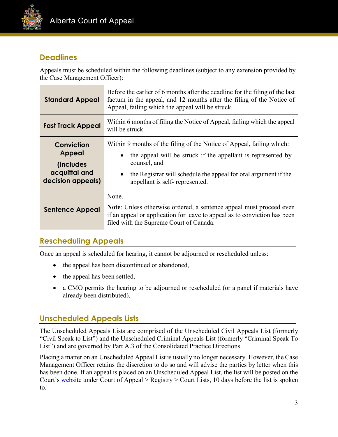

#### **Deadlines**

Appeals must be scheduled within the following deadlines (subject to any extension provided by the Case Management Officer):

| <b>Standard Appeal</b>                                                          | Before the earlier of 6 months after the deadline for the filing of the last<br>factum in the appeal, and 12 months after the filing of the Notice of<br>Appeal, failing which the appeal will be struck.                                                  |  |  |
|---------------------------------------------------------------------------------|------------------------------------------------------------------------------------------------------------------------------------------------------------------------------------------------------------------------------------------------------------|--|--|
| <b>Fast Track Appeal</b>                                                        | Within 6 months of filing the Notice of Appeal, failing which the appeal<br>will be struck.                                                                                                                                                                |  |  |
| Conviction<br>Appeal<br><i>(includes)</i><br>acquittal and<br>decision appeals) | Within 9 months of the filing of the Notice of Appeal, failing which:<br>the appeal will be struck if the appellant is represented by<br>counsel, and<br>the Registrar will schedule the appeal for oral argument if the<br>appellant is self-represented. |  |  |
| <b>Sentence Appeal</b>                                                          | None.<br>Note: Unless otherwise ordered, a sentence appeal must proceed even<br>if an appeal or application for leave to appeal as to conviction has been<br>filed with the Supreme Court of Canada.                                                       |  |  |

### **Rescheduling Appeals**

Once an appeal is scheduled for hearing, it cannot be adjourned or rescheduled unless:

- the appeal has been discontinued or abandoned,
- the appeal has been settled,
- a CMO permits the hearing to be adjourned or rescheduled (or a panel if materials have already been distributed).

### **Unscheduled Appeals Lists**

The Unscheduled Appeals Lists are comprised of the Unscheduled Civil Appeals List (formerly "Civil Speak to List") and the Unscheduled Criminal Appeals List (formerly "Criminal Speak To List") and are governed by Part A.3 of the Consolidated Practice Directions.

Placing a matter on an Unscheduled Appeal List is usually no longer necessary. However, the Case Management Officer retains the discretion to do so and will advise the parties by letter when this has been done. If an appeal is placed on an Unscheduled Appeal List, the list will be posted on the Court's [website](https://www.albertacourts.ca/ca/home) under Court of Appeal > Registry > Court Lists, 10 days before the list is spoken to.